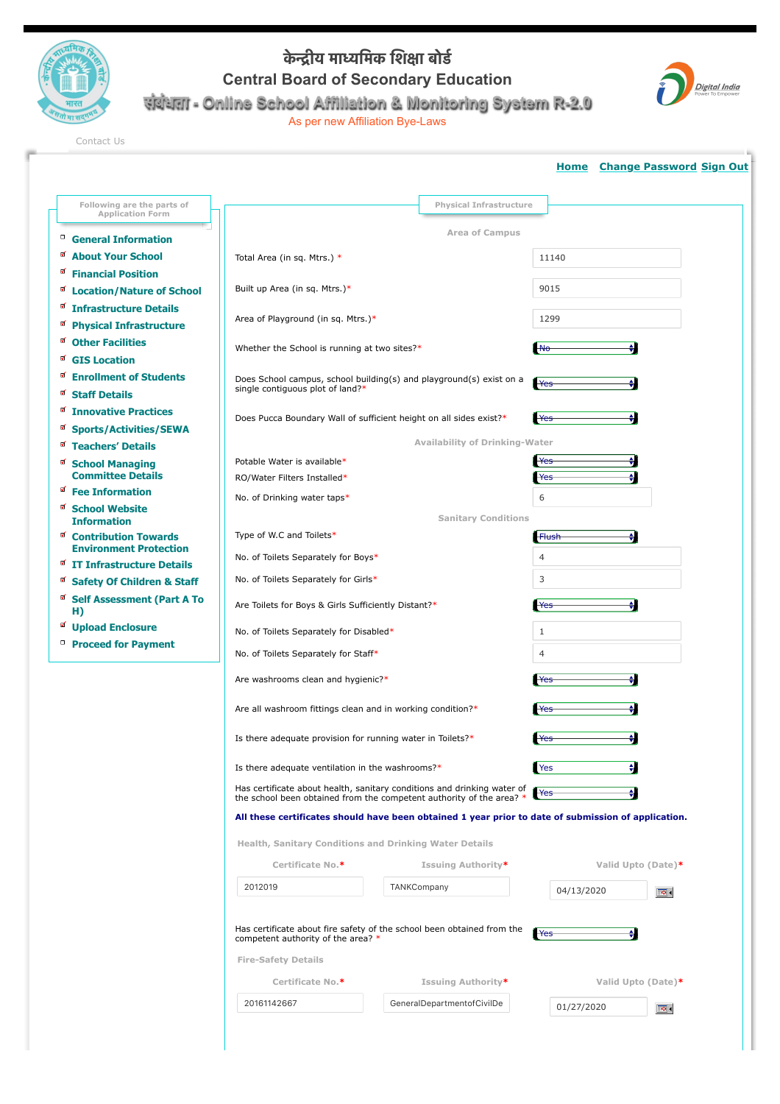

## **के #ीय मा(िमक िश,ा बोड0 Central Board of Secondary Education संबंधता - Online School Affiliation & Monitoring System R-2.0**

As per new Affiliation Bye-Laws



[Contact Us](http://cbseaff.nic.in/cbse_aff/help.aspx)

|                                                              |                                                                                                                                                        |                                                                        |                  | <b>Home</b> Change Password Sign Out |
|--------------------------------------------------------------|--------------------------------------------------------------------------------------------------------------------------------------------------------|------------------------------------------------------------------------|------------------|--------------------------------------|
| Following are the parts of                                   |                                                                                                                                                        | <b>Physical Infrastructure</b>                                         |                  |                                      |
| <b>Application Form</b>                                      |                                                                                                                                                        | <b>Area of Campus</b>                                                  |                  |                                      |
| <sup>D</sup> General Information                             |                                                                                                                                                        |                                                                        |                  |                                      |
| a About Your School<br>A.                                    | Total Area (in sq. Mtrs.) *                                                                                                                            |                                                                        | 11140            |                                      |
| <b>Financial Position</b>                                    | Built up Area (in sq. Mtrs.)*                                                                                                                          |                                                                        | 9015             |                                      |
| <b>Ø</b> Location/Nature of School<br>Infrastructure Details |                                                                                                                                                        |                                                                        |                  |                                      |
| <sup>of</sup> Physical Infrastructure                        | Area of Playground (in sq. Mtrs.)*                                                                                                                     |                                                                        | 1299             |                                      |
| <b>Other Facilities</b>                                      |                                                                                                                                                        |                                                                        |                  |                                      |
| <b>GIS Location</b>                                          | Whether the School is running at two sites?*                                                                                                           |                                                                        | M <sub>o</sub>   |                                      |
| <b>Enrollment of Students</b>                                | Does School campus, school building(s) and playground(s) exist on a<br>Yes                                                                             |                                                                        |                  |                                      |
| ×.<br><b>Staff Details</b>                                   | single contiguous plot of land?*                                                                                                                       |                                                                        |                  |                                      |
| <b>Ø</b> Innovative Practices                                |                                                                                                                                                        | Does Pucca Boundary Wall of sufficient height on all sides exist?*     | <b>Yes</b>       |                                      |
| <b>Sports/Activities/SEWA</b>                                |                                                                                                                                                        |                                                                        |                  |                                      |
| <sup>of</sup> Teachers' Details                              | <b>Availability of Drinking-Water</b>                                                                                                                  |                                                                        |                  |                                      |
| <b>¤ School Managing</b>                                     | Potable Water is available*                                                                                                                            |                                                                        | Yes              |                                      |
| <b>Committee Details</b><br><sup>o</sup> Fee Information     | RO/Water Filters Installed*                                                                                                                            |                                                                        | Yes              |                                      |
| <b>¤</b> School Website                                      | No. of Drinking water taps*                                                                                                                            |                                                                        | 6                |                                      |
| <b>Information</b>                                           | <b>Sanitary Conditions</b>                                                                                                                             |                                                                        |                  |                                      |
| <sup>g</sup> Contribution Towards                            | Type of W.C and Toilets*                                                                                                                               |                                                                        | <b>Flush</b>     |                                      |
| <b>Environment Protection</b><br>IT Infrastructure Details   | No. of Toilets Separately for Boys*                                                                                                                    |                                                                        | $\overline{4}$   |                                      |
| <sup>of</sup> Safety Of Children & Staff                     | No. of Toilets Separately for Girls*                                                                                                                   |                                                                        | 3                |                                      |
| Self Assessment (Part A To                                   | Are Toilets for Boys & Girls Sufficiently Distant?*                                                                                                    |                                                                        | Yes              |                                      |
| H)<br>a Upload Enclosure                                     | No. of Toilets Separately for Disabled*                                                                                                                |                                                                        | $\mathbf{1}$     |                                      |
| Proceed for Payment                                          |                                                                                                                                                        |                                                                        | $\overline{4}$   |                                      |
|                                                              | No. of Toilets Separately for Staff*                                                                                                                   |                                                                        |                  |                                      |
|                                                              | Are washrooms clean and hygienic?*                                                                                                                     |                                                                        | Yes              |                                      |
|                                                              | Are all washroom fittings clean and in working condition?*                                                                                             |                                                                        | H <sub>res</sub> |                                      |
|                                                              | Is there adequate provision for running water in Toilets?*                                                                                             |                                                                        | Yes              |                                      |
|                                                              | Is there adequate ventilation in the washrooms?*                                                                                                       |                                                                        | Yes              |                                      |
|                                                              | Has certificate about health, sanitary conditions and drinking water of<br>Yes<br>the school been obtained from the competent authority of the area? * |                                                                        |                  |                                      |
|                                                              | All these certificates should have been obtained 1 year prior to date of submission of application.                                                    |                                                                        |                  |                                      |
|                                                              | Health, Sanitary Conditions and Drinking Water Details                                                                                                 |                                                                        |                  |                                      |
|                                                              | Certificate No.*                                                                                                                                       | Issuing Authority*                                                     |                  | Valid Upto (Date)*                   |
|                                                              | 2012019                                                                                                                                                | TANKCompany                                                            | 04/13/2020       | $\boxed{6}$                          |
|                                                              | competent authority of the area? *<br><b>Fire-Safety Details</b>                                                                                       | Has certificate about fire safety of the school been obtained from the | Yes              |                                      |
|                                                              |                                                                                                                                                        |                                                                        |                  |                                      |
|                                                              | Certificate No.*                                                                                                                                       | Issuing Authority*                                                     |                  | Valid Upto (Date)*                   |
|                                                              | 20161142667                                                                                                                                            | GeneralDepartmentofCivilDe                                             | 01/27/2020       | $\boxed{6}$                          |
|                                                              |                                                                                                                                                        |                                                                        |                  |                                      |